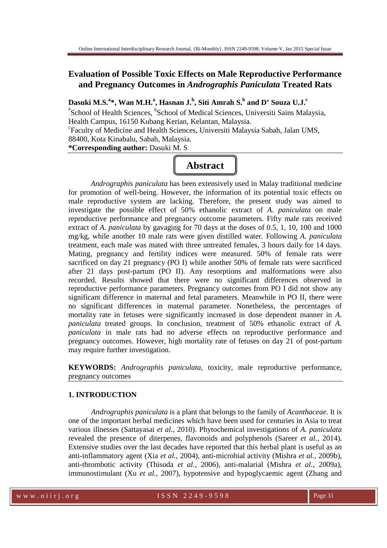# **Evaluation of Possible Toxic Effects on Male Reproductive Performance and Pregnancy Outcomes in** *Andrographis Paniculata* **Treated Rats**

# **Dasuki M.S.<sup>a</sup> \*, Wan M.H.<sup>a</sup> , Hasnan J.<sup>b</sup> , Siti Amrah S.<sup>b</sup> and D' Souza U.J.<sup>c</sup>**

<sup>a</sup> School of Health Sciences, <sup>b</sup> School of Medical Sciences, Universiti Sains Malaysia, Health Campus, 16150 Kubang Kerian, Kelantan, Malaysia. c Faculty of Medicine and Health Sciences, Universiti Malaysia Sabah, Jalan UMS, 88400, Kota Kinabalu, Sabah, Malaysia. **\*Corresponding author:** Dasuki M. S

# **Abstract**

*Andrographis paniculata* has been extensively used in Malay traditional medicine for promotion of well-being. However, the information of its potential toxic effects on male reproductive system are lacking. Therefore, the present study was aimed to investigate the possible effect of 50% ethanolic extract of *A. paniculata* on male reproductive performance and pregnancy outcome parameters. Fifty male rats received extract of *A. paniculata* by gavaging for 70 days at the doses of 0.5, 1, 10, 100 and 1000 mg/kg, while another 10 male rats were given distilled water. Following *A. paniculata*  treatment, each male was mated with three untreated females, 3 hours daily for 14 days. Mating, pregnancy and fertility indices were measured. 50% of female rats were sacrificed on day 21 pregnancy (PO I) while another 50% of female rats were sacrificed after 21 days post-partum (PO II). Any resorptions and malformations were also recorded. Results showed that there were no significant differences observed in reproductive performance parameters. Pregnancy outcomes from PO I did not show any significant difference in maternal and fetal parameters. Meanwhile in PO II, there were no significant differences in maternal parameter. Nonetheless, the percentages of mortality rate in fetuses were significantly increased in dose dependent manner in *A. paniculata* treated groups. In conclusion, treatment of 50% ethanolic extract of *A. paniculata* in male rats had no adverse effects on reproductive performance and pregnancy outcomes. However, high mortality rate of fetuses on day 21 of post-partum may require further investigation.

**KEYWORDS:** *Andrographis paniculata*, toxicity, male reproductive performance, pregnancy outcomes

## **1. INTRODUCTION**

*Andrographis paniculata* is a plant that belongs to the family of *Acanthaceae*. It is one of the important herbal medicines which have been used for centuries in Asia to treat various illnesses (Sattayasai *et al.*, 2010). Phytochemical investigations of *A. paniculata*  revealed the presence of diterpenes, flavonoids and polyphenols (Sareer *et al.*, 2014). Extensive studies over the last decades have reported that this herbal plant is useful as an anti-inflammatory agent (Xia *et al.*, 2004), anti-microbial activity (Mishra *et al.*, 2009b), anti-thrombotic activity (Thisoda *et al.*, 2006), anti-malarial (Mishra *et al.*, 2009a), immunostimulant (Xu *et al.*, 2007), hypotensive and hypoglycaemic agent (Zhang and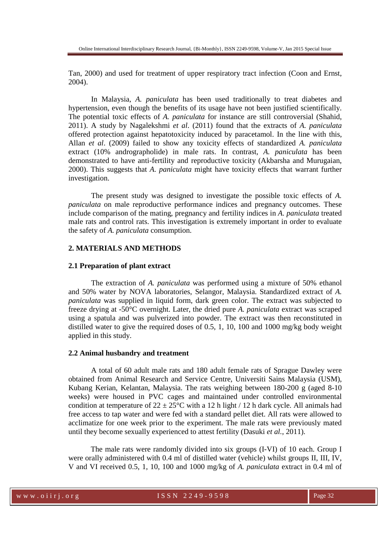Tan, 2000) and used for treatment of upper respiratory tract infection (Coon and Ernst, 2004).

In Malaysia, *A. paniculata* has been used traditionally to treat diabetes and hypertension, even though the benefits of its usage have not been justified scientifically. The potential toxic effects of *A. paniculata* for instance are still controversial (Shahid, 2011). A study by Nagalekshmi *et al*. (2011) found that the extracts of *A. paniculata* offered protection against hepatotoxicity induced by paracetamol. In the line with this, Allan *et al*. (2009) failed to show any toxicity effects of standardized *A. paniculata* extract (10% andrographolide) in male rats. In contrast, *A. paniculata* has been demonstrated to have anti-fertility and reproductive toxicity (Akbarsha and Murugaian, 2000). This suggests that *A. paniculata* might have toxicity effects that warrant further investigation.

The present study was designed to investigate the possible toxic effects of *A. paniculata* on male reproductive performance indices and pregnancy outcomes. These include comparison of the mating, pregnancy and fertility indices in *A. paniculata* treated male rats and control rats. This investigation is extremely important in order to evaluate the safety of *A. paniculata* consumption.

## **2. MATERIALS AND METHODS**

#### **2.1 Preparation of plant extract**

The extraction of *A. paniculata* was performed using a mixture of 50% ethanol and 50% water by NOVA laboratories, Selangor, Malaysia. Standardized extract of *A. paniculata* was supplied in liquid form, dark green color. The extract was subjected to freeze drying at -50°C overnight. Later, the dried pure *A. paniculata* extract was scraped using a spatula and was pulverized into powder. The extract was then reconstituted in distilled water to give the required doses of  $0.5, 1, 10, 100$  and  $1000$  mg/kg body weight applied in this study.

## **2.2 Animal husbandry and treatment**

A total of 60 adult male rats and 180 adult female rats of Sprague Dawley were obtained from Animal Research and Service Centre, Universiti Sains Malaysia (USM), Kubang Kerian, Kelantan, Malaysia. The rats weighing between 180-200 g (aged 8-10 weeks) were housed in PVC cages and maintained under controlled environmental condition at temperature of  $22 \pm 25^{\circ}$ C with a 12 h light / 12 h dark cycle. All animals had free access to tap water and were fed with a standard pellet diet. All rats were allowed to acclimatize for one week prior to the experiment. The male rats were previously mated until they become sexually experienced to attest fertility (Dasuki *et al.*, 2011).

The male rats were randomly divided into six groups (I-VI) of 10 each. Group I were orally administered with 0.4 ml of distilled water (vehicle) whilst groups II, III, IV, V and VI received 0.5, 1, 10, 100 and 1000 mg/kg of *A. paniculata* extract in 0.4 ml of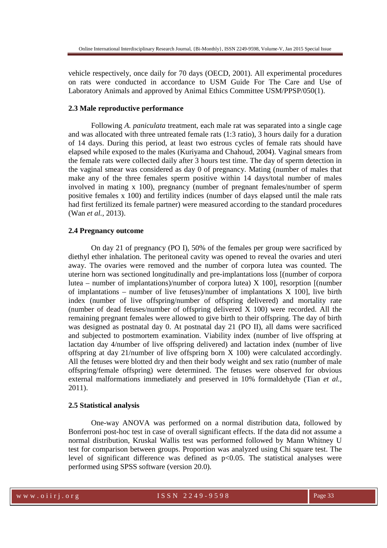vehicle respectively, once daily for 70 days (OECD, 2001). All experimental procedures on rats were conducted in accordance to USM Guide For The Care and Use of Laboratory Animals and approved by Animal Ethics Committee USM/PPSP/050(1).

#### **2.3 Male reproductive performance**

Following *A. paniculata* treatment, each male rat was separated into a single cage and was allocated with three untreated female rats (1:3 ratio), 3 hours daily for a duration of 14 days. During this period, at least two estrous cycles of female rats should have elapsed while exposed to the males (Kuriyama and Chahoud, 2004). Vaginal smears from the female rats were collected daily after 3 hours test time. The day of sperm detection in the vaginal smear was considered as day 0 of pregnancy. Mating (number of males that make any of the three females sperm positive within 14 days/total number of males involved in mating x 100), pregnancy (number of pregnant females/number of sperm positive females x 100) and fertility indices (number of days elapsed until the male rats had first fertilized its female partner) were measured according to the standard procedures (Wan *et al.*, 2013).

## **2.4 Pregnancy outcome**

On day 21 of pregnancy (PO I), 50% of the females per group were sacrificed by diethyl ether inhalation. The peritoneal cavity was opened to reveal the ovaries and uteri away. The ovaries were removed and the number of corpora lutea was counted. The uterine horn was sectioned longitudinally and pre-implantations loss [(number of corpora lutea – number of implantations)/number of corpora lutea) X 100], resorption [(number of implantations – number of live fetuses)/number of implantations  $X$  100, live birth index (number of live offspring/number of offspring delivered) and mortality rate (number of dead fetuses/number of offspring delivered X 100) were recorded. All the remaining pregnant females were allowed to give birth to their offspring. The day of birth was designed as postnatal day 0. At postnatal day 21 (PO II), all dams were sacrificed and subjected to postmortem examination. Viability index (number of live offspring at lactation day 4/number of live offspring delivered) and lactation index (number of live offspring at day 21/number of live offspring born X 100) were calculated accordingly. All the fetuses were blotted dry and then their body weight and sex ratio (number of male offspring/female offspring) were determined. The fetuses were observed for obvious external malformations immediately and preserved in 10% formaldehyde (Tian *et al.*, 2011).

#### **2.5 Statistical analysis**

One-way ANOVA was performed on a normal distribution data, followed by Bonferroni post-hoc test in case of overall significant effects. If the data did not assume a normal distribution, Kruskal Wallis test was performed followed by Mann Whitney U test for comparison between groups. Proportion was analyzed using Chi square test. The level of significant difference was defined as p<0.05. The statistical analyses were performed using SPSS software (version 20.0).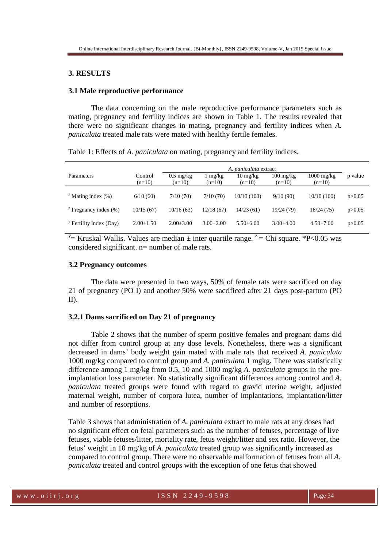## **3. RESULTS**

#### **3.1 Male reproductive performance**

The data concerning on the male reproductive performance parameters such as mating, pregnancy and fertility indices are shown in Table 1. The results revealed that there were no significant changes in mating, pregnancy and fertility indices when *A. paniculata* treated male rats were mated with healthy fertile females.

Table 1: Effects of *A. paniculata* on mating, pregnancy and fertility indices.

|                                    |                     | A. paniculata extract           |                     |                                |                                 |                                  |          |
|------------------------------------|---------------------|---------------------------------|---------------------|--------------------------------|---------------------------------|----------------------------------|----------|
| Parameters                         | Control<br>$(n=10)$ | $0.5 \text{ mg/kg}$<br>$(n=10)$ | 1 mg/kg<br>$(n=10)$ | $10 \text{ mg/kg}$<br>$(n=10)$ | $100 \text{ mg/kg}$<br>$(n=10)$ | $1000 \text{ mg/kg}$<br>$(n=10)$ | p value  |
|                                    |                     |                                 |                     |                                |                                 |                                  |          |
| $\frac{1}{2}$ Mating index (%)     | 6/10(60)            | 7/10(70)                        | 7/10(70)            | 10/10(100)                     | 9/10(90)                        | 10/10(100)                       | p > 0.05 |
| $\frac{z}{z}$ Pregnancy index (%)  | 10/15(67)           | 10/16(63)                       | 12/18(67)           | 14/23(61)                      | 19/24 (79)                      | 18/24 (75)                       | p > 0.05 |
| <sup>y</sup> Fertility index (Day) | $2.00 \pm 1.50$     | $2.00 \pm 3.00$                 | $3.00+2.00$         | $5.50 + 6.00$                  | $3.00 + 4.00$                   | $4.50 \pm 7.00$                  | p > 0.05 |

 $\frac{y}{z}$  Kruskal Wallis. Values are median  $\pm$  inter quartile range.  $z =$ Chi square. \*P<0.05 was considered significant. n= number of male rats.

#### **3.2 Pregnancy outcomes**

The data were presented in two ways, 50% of female rats were sacrificed on day 21 of pregnancy (PO I) and another 50% were sacrificed after 21 days post-partum (PO II).

## **3.2.1 Dams sacrificed on Day 21 of pregnancy**

Table 2 shows that the number of sperm positive females and pregnant dams did not differ from control group at any dose levels. Nonetheless, there was a significant decreased in dams' body weight gain mated with male rats that received *A. paniculata* 1000 mg/kg compared to control group and *A. paniculata* 1 mgkg. There was statistically difference among 1 mg/kg from 0.5, 10 and 1000 mg/kg *A. paniculata* groups in the preimplantation loss parameter. No statistically significant differences among control and *A. paniculata* treated groups were found with regard to gravid uterine weight, adjusted maternal weight, number of corpora lutea, number of implantations, implantation/litter and number of resorptions.

Table 3 shows that administration of *A. paniculata* extract to male rats at any doses had no significant effect on fetal parameters such as the number of fetuses, percentage of live fetuses, viable fetuses/litter, mortality rate, fetus weight/litter and sex ratio. However, the fetus' weight in 10 mg/kg of *A. paniculata* treated group was significantly increased as compared to control group. There were no observable malformation of fetuses from all *A. paniculata* treated and control groups with the exception of one fetus that showed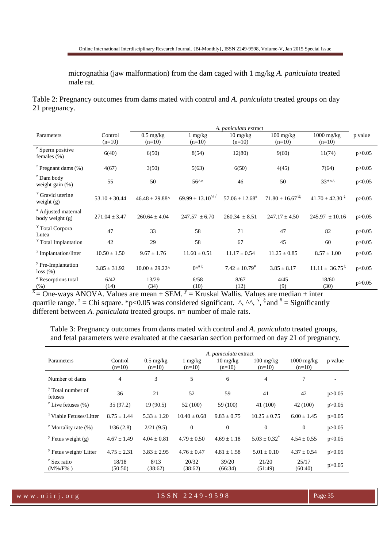micrognathia (jaw malformation) from the dam caged with 1 mg/kg *A. paniculata* treated male rat.

Table 2: Pregnancy outcomes from dams mated with control and *A. paniculata* treated groups on day 21 pregnancy.

|                                                   | A. <i>paniculata</i> extract |                                                  |                                                  |                                  |                                   |                                 |          |
|---------------------------------------------------|------------------------------|--------------------------------------------------|--------------------------------------------------|----------------------------------|-----------------------------------|---------------------------------|----------|
| Parameters                                        | Control                      | $0.5 \text{ mg/kg}$                              | $1 \text{ mg/kg}$                                | $10 \frac{\text{mg}}{\text{kg}}$ | $100 \frac{\text{mg}}{\text{kg}}$ | $1000 \text{ mg/kg}$            | p value  |
|                                                   | $(n=10)$                     | $(n=10)$                                         | $(n=10)$                                         | $(n=10)$                         | $(n=10)$                          | $(n=10)$                        |          |
| <sup>z</sup> Sperm positive<br>females $(\%)$     | 6(40)                        | 6(50)                                            | 8(54)                                            | 12(80)                           | 9(60)                             | 11(74)                          | p > 0.05 |
| $\frac{z}{z}$ Pregnant dams (%)                   | 4(67)                        | 3(50)                                            | 5(63)                                            | 6(50)                            | 4(45)                             | 7(64)                           | p > 0.05 |
| <sup>z</sup> Dam body<br>weight gain (%)          | 55                           | 50                                               | $56^{\wedge\wedge}$                              | 46                               | 50                                | $33***$                         | p<0.05   |
| <sup>Y</sup> Gravid uterine<br>weight $(g)$       | $53.10 \pm 30.44$            | $46.48 \pm 29.88$ ^                              | $69.99 \pm 13.10^{4}\%$                          | $57.06 \pm 12.68^{\text{*}}$     | $71.80 \pm 16.67^{\sqrt{\xi}}$    | $41.70 \pm 42.30^{\frac{2}{5}}$ | p > 0.05 |
| <sup>x</sup> Adjusted maternal<br>body weight (g) | $271.04 \pm 3.47$            | $260.64 \pm 4.04$                                | $247.57 \pm 6.70$                                | $260.34 \pm 8.51$                | $247.17 \pm 4.50$                 | $245.97 \pm 10.16$              | p > 0.05 |
| <sup>Y</sup> Total Corpora<br>Lutea               | 47                           | 33                                               | 58                                               | 71                               | 47                                | 82                              | p > 0.05 |
| <sup>Y</sup> Total Implantation                   | 42                           | 29                                               | 58                                               | 67                               | 45                                | 60                              | p > 0.05 |
| <sup>x</sup> Implantation/litter                  | $10.50 \pm 1.50$             | $9.67 \pm 1.76$                                  | $11.60 \pm 0.51$                                 | $11.17 \pm 0.54$                 | $11.25 \pm 0.85$                  | $8.57 \pm 1.00$                 | p > 0.05 |
| <sup>y</sup> Pre-Implantation<br>loss (%)         | $3.85 \pm 31.92$             | $10.00 \pm 29.22$ <sup><math>\wedge</math></sup> | $0^{\lambda^{\#}\xi}$                            | $7.42 \pm 10.79^{\text{*}}$      | $3.85 \pm 8.17$                   | $11.11 \pm 36.75^{\frac{2}{3}}$ | p<0.05   |
| <sup>z</sup> Resorptions total                    | 6/42                         | 13/29                                            | 6/58                                             | 8/67                             | 4/45                              | 18/60                           | p > 0.05 |
| $(\%)$<br>1.777771<br>$\sim$                      | (14)<br>$x \cdot x$          | (34)                                             | (10)<br>$\sim$ $\sim$ $\sim$ $V$<br>$\mathbf{v}$ | (12)<br>$-1$ www.size<br>$-1$    | (9)<br>$\cdot$ $\cdot$            | (30)                            |          |

 $x =$ One-ways ANOVA. Values are mean  $\pm$  SEM.  $y =$  Kruskal Wallis. Values are median  $\pm$  inter quartile range. <sup>z</sup> = Chi square. \*p<0.05 was considered significant. ^, ^^,  $\frac{1}{2}$  and  $\frac{1}{2}$  = Significantly different between *A. paniculata* treated groups. n= number of male rats.

Table 3: Pregnancy outcomes from dams mated with control and *A. paniculata* treated groups, and fetal parameters were evaluated at the caesarian section performed on day 21 of pregnancy.

|                                         |                 | A. <i>paniculata</i> extract |                   |                                  |                            |                      |          |
|-----------------------------------------|-----------------|------------------------------|-------------------|----------------------------------|----------------------------|----------------------|----------|
| Parameters                              | Control         | $0.5 \text{ mg/kg}$          | $1 \text{ mg/kg}$ | $10 \frac{\text{mg}}{\text{kg}}$ | $100 \text{ mg/kg}$        | $1000 \text{ mg/kg}$ | p value  |
|                                         | $(n=10)$        | $(n=10)$                     | $(n=10)$          | $(n=10)$                         | $(n=10)$                   | $(n=10)$             |          |
| Number of dams                          | $\overline{4}$  | 3                            | 5                 | 6                                | $\overline{4}$             | 7                    |          |
| <sup>y</sup> Total number of<br>fetuses | 36              | 21                           | 52                | 59                               | 41                         | 42                   | p > 0.05 |
| $\rm z$ Live fetuses (%)                | 35(97.2)        | 19(90.5)                     | 52 (100)          | 59 (100)                         | 41 (100)                   | 42 (100)             | p > 0.05 |
| <sup>x</sup> Viable Fetuses/Litter      | $8.75 \pm 1.44$ | $5.33 \pm 1.20$              | $10.40 \pm 0.68$  | $9.83 \pm 0.75$                  | $10.25 \pm 0.75$           | $6.00 \pm 1.45$      | p > 0.05 |
| $\rm{z}$ Mortality rate (%)             | 1/36(2.8)       | 2/21(9.5)                    | $\mathbf{0}$      | $\Omega$                         | $\overline{0}$             | $\theta$             | p > 0.05 |
| <sup>y</sup> Fetus weight $(g)$         | $4.67 \pm 1.49$ | $4.04 \pm 0.81$              | $4.79 + 0.50$     | $4.69 + 1.18$                    | $5.03 + 0.32$ <sup>*</sup> | $4.54 \pm 0.55$      | p<0.05   |
| <sup>y</sup> Fetus weight/ Litter       | $4.75 \pm 2.31$ | $3.83 \pm 2.95$              | $4.76 + 0.47$     | $4.81 \pm 1.58$                  | $5.01 \pm 0.10$            | $4.37 \pm 0.54$      | p > 0.05 |
| <sup>z</sup> Sex ratio                  | 18/18           | 8/13                         | 20/32             | 39/20                            | 21/20                      | 25/17                | p > 0.05 |
| $(M\% / F\%)$                           | (50:50)         | (38:62)                      | (38:62)           | (66:34)                          | (51:49)                    | (60:40)              |          |

w w w . o i i r j . o r g i set of the ISSN 2249-9598 Page 35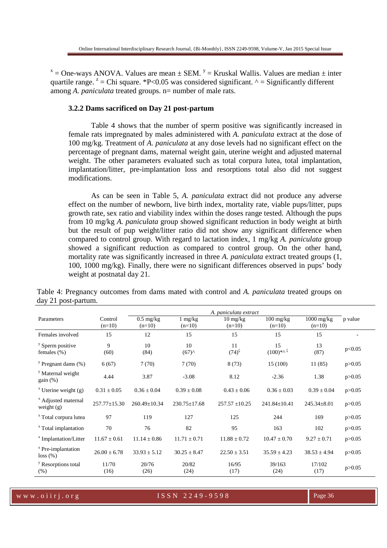$x =$ One-ways ANOVA. Values are mean  $\pm$  SEM.  $y =$  Kruskal Wallis. Values are median  $\pm$  inter quartile range.  $z^2$  = Chi square. \*P<0.05 was considered significant. ^ = Significantly different among *A. paniculata* treated groups. n= number of male rats.

#### **3.2.2 Dams sacrificed on Day 21 post-partum**

Table 4 shows that the number of sperm positive was significantly increased in female rats impregnated by males administered with *A. paniculata* extract at the dose of 100 mg/kg. Treatment of *A. paniculata* at any dose levels had no significant effect on the percentage of pregnant dams, maternal weight gain, uterine weight and adjusted maternal weight. The other parameters evaluated such as total corpura lutea, total implantation, implantation/litter, pre-implantation loss and resorptions total also did not suggest modifications.

As can be seen in Table 5, *A. paniculata* extract did not produce any adverse effect on the number of newborn, live birth index, mortality rate, viable pups/litter, pups growth rate, sex ratio and viability index within the doses range tested. Although the pups from 10 mg/kg *A. paniculata* group showed significant reduction in body weight at birth but the result of pup weight/litter ratio did not show any significant difference when compared to control group. With regard to lactation index, 1 mg/kg *A. paniculata* group showed a significant reduction as compared to control group. On the other hand, mortality rate was significantly increased in three *A. paniculata* extract treated groups (1, 100, 1000 mg/kg). Finally, there were no significant differences observed in pups' body weight at postnatal day 21.

|                                                |                     | A. paniculata extract           |                               |                                              |                                               |                          |          |
|------------------------------------------------|---------------------|---------------------------------|-------------------------------|----------------------------------------------|-----------------------------------------------|--------------------------|----------|
| Parameters                                     | Control<br>$(n=10)$ | $0.5 \text{ mg/kg}$<br>$(n=10)$ | $1 \text{ mg/kg}$<br>$(n=10)$ | $10 \frac{\text{mg}}{\text{kg}}$<br>$(n=10)$ | $100 \frac{\text{mg}}{\text{kg}}$<br>$(n=10)$ | $1000$ mg/kg<br>$(n=10)$ | p value  |
| Females involved                               | 15                  | 12                              | 15                            | 15                                           | 15                                            | 15                       |          |
| <sup>y</sup> Sperm positive<br>females $(\%)$  | 9<br>(60)           | 10<br>(84)                      | 10<br>$(67)^{A}$              | 11<br>$(74)^5$                               | 15<br>$(100)$ *^ 5                            | 13<br>(87)               | p<0.05   |
| $\frac{y}{x}$ Pregnant dams (%)                | 6(67)               | 7(70)                           | 7(70)                         | 8(73)                                        | 15 (100)                                      | 11(85)                   | p > 0.05 |
| <sup>y</sup> Maternal weight<br>gain(%)        | 4.44                | 3.87                            | $-3.08$                       | 8.12                                         | $-2.36$                                       | 1.38                     | p > 0.05 |
| $x$ Uterine weight (g)                         | $0.31 \pm 0.05$     | $0.36 \pm 0.04$                 | $0.39 \pm 0.08$               | $0.43 \pm 0.06$                              | $0.36 \pm 0.03$                               | $0.39 \pm 0.04$          | p > 0.05 |
| <sup>x</sup> Adjusted maternal<br>weight $(g)$ | $257.77 \pm 15.30$  | $260.49 \pm 10.34$              | $230.75 \pm 17.68$            | $257.57 \pm 10.25$                           | $241.84 \pm 10.41$                            | 245.34±8.01              | p > 0.05 |
| <sup>x</sup> Total corpura lutea               | 97                  | 119                             | 127                           | 125                                          | 244                                           | 169                      | p > 0.05 |
| <sup>x</sup> Total implantation                | 70                  | 76                              | 82                            | 95                                           | 163                                           | 102                      | p > 0.05 |
| <sup>x</sup> Implantation/Litter               | $11.67 \pm 0.61$    | $11.14 \pm 0.86$                | $11.71 \pm 0.71$              | $11.88 \pm 0.72$                             | $10.47 \pm 0.70$                              | $9.27 \pm 0.71$          | p > 0.05 |
| <sup>x</sup> Pre-implantation<br>loss (%)      | $26.00 \pm 6.78$    | $33.93 \pm 5.12$                | $30.25 \pm 8.47$              | $22.50 \pm 3.51$                             | $35.59 \pm 4.23$                              | $38.53 \pm 4.94$         | p > 0.05 |
| <sup>y</sup> Resorptions total<br>(% )         | 11/70<br>(16)       | 20/76<br>(26)                   | 20/82<br>(24)                 | 16/95<br>(17)                                | 39/163<br>(24)                                | 17/102<br>(17)           | p > 0.05 |

Table 4: Pregnancy outcomes from dams mated with control and *A. paniculata* treated groups on day 21 post-partum.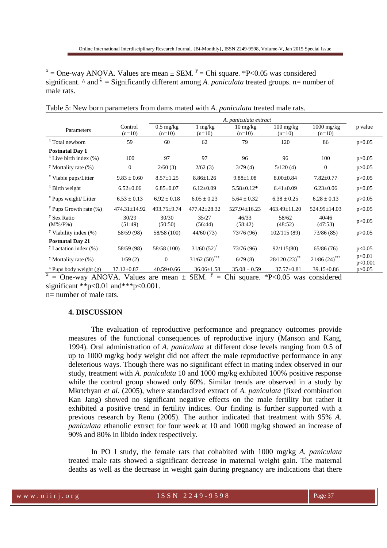$x =$ One-way ANOVA. Values are mean  $\pm$  SEM.  $y =$ Chi square. \*P<0.05 was considered significant.  $\wedge$  and  $\xi$  = Significantly different among A. paniculata treated groups. n= number of male rats.

|                                         |                     | A. paniculata extract           |                               |                                |                                               |                          |                   |
|-----------------------------------------|---------------------|---------------------------------|-------------------------------|--------------------------------|-----------------------------------------------|--------------------------|-------------------|
| Parameters                              | Control<br>$(n=10)$ | $0.5 \text{ mg/kg}$<br>$(n=10)$ | $1 \text{ mg/kg}$<br>$(n=10)$ | $10 \text{ mg/kg}$<br>$(n=10)$ | $100 \frac{\text{mg}}{\text{kg}}$<br>$(n=10)$ | $1000$ mg/kg<br>$(n=10)$ | p value           |
| <sup>x</sup> Total newborn              | 59                  | 60                              | 62                            | 79                             | 120                                           | 86                       | p > 0.05          |
| <b>Postnatal Day 1</b>                  |                     |                                 |                               |                                |                                               |                          |                   |
| $x$ Live birth index $(\%)$             | 100                 | 97                              | 97                            | 96                             | 96                                            | 100                      | p > 0.05          |
| <sup>y</sup> Mortality rate $(\%)$      | $\mathbf{0}$        | 2/60(3)                         | 2/62(3)                       | 3/79(4)                        | 5/120(4)                                      | $\Omega$                 | p > 0.05          |
| <sup>x</sup> Viable pups/Litter         | $9.83 \pm 0.60$     | $8.57 \pm 1.25$                 | $8.86 \pm 1.26$               | $9.88 \pm 1.08$                | $8.00 \pm 0.84$                               | $7.82 \pm 0.77$          | p > 0.05          |
| <sup>x</sup> Birth weight               | $6.52 \pm 0.06$     | $6.85 \pm 0.07$                 | $6.12 \pm 0.09$               | $5.58 \pm 0.12*$               | $6.41 \pm 0.09$                               | $6.23 \pm 0.06$          | p<0.05            |
| <sup>x</sup> Pups weight/ Litter        | $6.53 \pm 0.13$     | $6.92 \pm 0.18$                 | $6.05 \pm 0.23$               | $5.64 \pm 0.32$                | $6.38 \pm 0.25$                               | $6.28 \pm 0.13$          | p > 0.05          |
| <sup>y</sup> Pups Growth rate $(\%)$    | 474.31±14.92        | 493.75±9.74                     | $477.42 \pm 28.32$            | $527.94 \pm 16.23$             | $463.49 \pm 11.20$                            | $524.99 \pm 14.03$       | p > 0.05          |
| <sup>y</sup> Sex Ratio<br>$(M\% / F\%)$ | 30/29<br>(51:49)    | 30/30<br>(50:50)                | 35/27<br>(56:44)              | 46/33<br>(58:42)               | 58/62<br>(48:52)                              | 40/46<br>(47:53)         | p > 0.05          |
| <sup>y</sup> Viability index $(\%)$     | 58/59 (98)          | 58/58 (100)                     | 44/60(73)                     | 73/76 (96)                     | 102/115(89)                                   | 73/86 (85)               | p > 0.05          |
| <b>Postnatal Day 21</b>                 |                     |                                 |                               |                                |                                               |                          |                   |
| <sup>y</sup> Lactation index $(\% )$    | 58/59 (98)          | 58/58 (100)                     | $31/60(52)^{*}$               | 73/76 (96)                     | 92/115(80)                                    | 65/86(76)                | p<0.05            |
| <sup>y</sup> Mortality rate $(\%)$      | 1/59(2)             | $\theta$                        | $31/62(50)$ <sup>***</sup>    | 6/79(8)                        | 28/120 (23)**                                 | 21/86(24)                | p<0.01<br>p<0.001 |
| $^x$ Pups body weight (g)               | $37.12 \pm 0.87$    | $40.59 \pm 0.66$                | $36.06 \pm 1.58$              | $35.08 \pm 0.59$               | $37.57 \pm 0.81$                              | 39.15±0.86               | p > 0.05          |

Table 5: New born parameters from dams mated with *A. paniculata* treated male rats.

 $x =$ One-way ANOVA. Values are mean  $\pm$  SEM.  $y =$ Chi square. \*P<0.05 was considered significant \*\*p<0.01 and\*\*\*p<0.001.

n= number of male rats.

## **4. DISCUSSION**

The evaluation of reproductive performance and pregnancy outcomes provide measures of the functional consequences of reproductive injury (Manson and Kang, 1994). Oral administration of *A. paniculata* at different dose levels ranging from 0.5 of up to 1000 mg/kg body weight did not affect the male reproductive performance in any deleterious ways. Though there was no significant effect in mating index observed in our study, treatment with *A. paniculata* 10 and 1000 mg/kg exhibited 100% positive response while the control group showed only 60%. Similar trends are observed in a study by Mkrtchyan *et al*. (2005), where standardized extract of *A. paniculata* (fixed combination Kan Jang) showed no significant negative effects on the male fertility but rather it exhibited a positive trend in fertility indices. Our finding is further supported with a previous research by Renu (2005). The author indicated that treatment with 95% *A. paniculata* ethanolic extract for four week at 10 and 1000 mg/kg showed an increase of 90% and 80% in libido index respectively.

In PO I study, the female rats that cohabited with 1000 mg/kg *A. paniculata* treated male rats showed a significant decrease in maternal weight gain. The maternal deaths as well as the decrease in weight gain during pregnancy are indications that there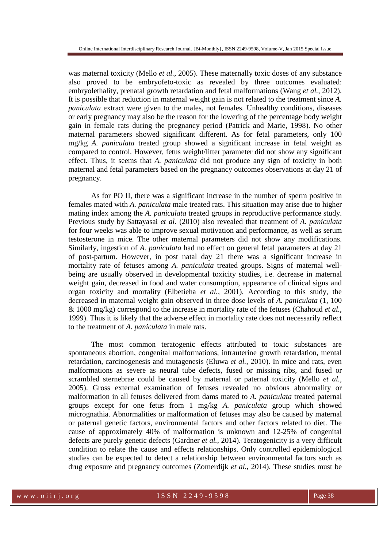was maternal toxicity (Mello *et al.*, 2005). These maternally toxic doses of any substance also proved to be embryofeto-toxic as revealed by three outcomes evaluated: embryolethality, prenatal growth retardation and fetal malformations (Wang *et al.*, 2012). It is possible that reduction in maternal weight gain is not related to the treatment since *A. paniculata* extract were given to the males, not females. Unhealthy conditions, diseases or early pregnancy may also be the reason for the lowering of the percentage body weight gain in female rats during the pregnancy period (Patrick and Marie, 1998). No other maternal parameters showed significant different. As for fetal parameters, only 100 mg/kg *A. paniculata* treated group showed a significant increase in fetal weight as compared to control. However, fetus weight/litter parameter did not show any significant effect. Thus, it seems that *A. paniculata* did not produce any sign of toxicity in both maternal and fetal parameters based on the pregnancy outcomes observations at day 21 of pregnancy.

As for PO II, there was a significant increase in the number of sperm positive in females mated with *A. paniculata* male treated rats. This situation may arise due to higher mating index among the *A. paniculata* treated groups in reproductive performance study. Previous study by Sattayasai *et al*. (2010) also revealed that treatment of *A. paniculata*  for four weeks was able to improve sexual motivation and performance, as well as serum testosterone in mice. The other maternal parameters did not show any modifications. Similarly, ingestion of *A. paniculata* had no effect on general fetal parameters at day 21 of post-partum. However, in post natal day 21 there was a significant increase in mortality rate of fetuses among *A. paniculata* treated groups. Signs of maternal wellbeing are usually observed in developmental toxicity studies, i.e. decrease in maternal weight gain, decreased in food and water consumption, appearance of clinical signs and organ toxicity and mortality (Elbetieha *et al.*, 2001). According to this study, the decreased in maternal weight gain observed in three dose levels of *A. paniculata* (1, 100 & 1000 mg/kg) correspond to the increase in mortality rate of the fetuses (Chahoud *et al.*, 1999). Thus it is likely that the adverse effect in mortality rate does not necessarily reflect to the treatment of *A. paniculata* in male rats.

The most common teratogenic effects attributed to toxic substances are spontaneous abortion, congenital malformations, intrauterine growth retardation, mental retardation, carcinogenesis and mutagenesis (Eluwa *et al.*, 2010). In mice and rats, even malformations as severe as neural tube defects, fused or missing ribs, and fused or scrambled sternebrae could be caused by maternal or paternal toxicity (Mello *et al.*, 2005). Gross external examination of fetuses revealed no obvious abnormality or malformation in all fetuses delivered from dams mated to *A. paniculata* treated paternal groups except for one fetus from 1 mg/kg *A. paniculata* group which showed micrognathia. Abnormalities or malformation of fetuses may also be caused by maternal or paternal genetic factors, environmental factors and other factors related to diet. The cause of approximately 40% of malformation is unknown and 12-25% of congenital defects are purely genetic defects (Gardner *et al.*, 2014). Teratogenicity is a very difficult condition to relate the cause and effects relationships. Only controlled epidemiological studies can be expected to detect a relationship between environmental factors such as drug exposure and pregnancy outcomes (Zomerdijk *et al.*, 2014). These studies must be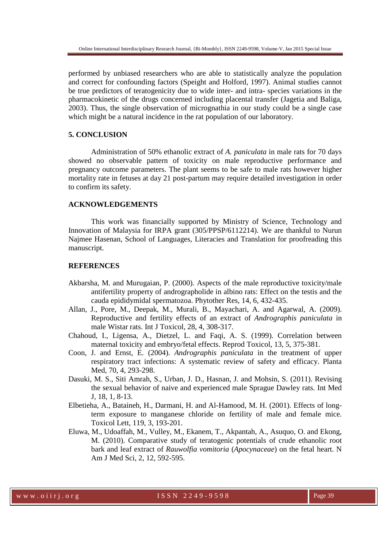performed by unbiased researchers who are able to statistically analyze the population and correct for confounding factors (Speight and Holford, 1997). Animal studies cannot be true predictors of teratogenicity due to wide inter- and intra- species variations in the pharmacokinetic of the drugs concerned including placental transfer (Jagetia and Baliga, 2003). Thus, the single observation of micrognathia in our study could be a single case which might be a natural incidence in the rat population of our laboratory.

## **5. CONCLUSION**

Administration of 50% ethanolic extract of *A. paniculata* in male rats for 70 days showed no observable pattern of toxicity on male reproductive performance and pregnancy outcome parameters. The plant seems to be safe to male rats however higher mortality rate in fetuses at day 21 post-partum may require detailed investigation in order to confirm its safety.

## **ACKNOWLEDGEMENTS**

This work was financially supported by Ministry of Science, Technology and Innovation of Malaysia for IRPA grant (305/PPSP/6112214). We are thankful to Nurun Najmee Hasenan, School of Languages, Literacies and Translation for proofreading this manuscript.

## **REFERENCES**

- Akbarsha, M. and Murugaian, P. (2000). Aspects of the male reproductive toxicity/male antifertility property of andrographolide in albino rats: Effect on the testis and the cauda epididymidal spermatozoa. Phytother Res, 14, 6, 432-435.
- Allan, J., Pore, M., Deepak, M., Murali, B., Mayachari, A. and Agarwal, A. (2009). Reproductive and fertility effects of an extract of *Andrographis paniculata* in male Wistar rats. Int J Toxicol, 28, 4, 308-317.
- Chahoud, I., Ligensa, A., Dietzel, L. and Faqi, A. S. (1999). Correlation between maternal toxicity and embryo/fetal effects. Reprod Toxicol, 13, 5, 375-381.
- Coon, J. and Ernst, E. (2004). *Andrographis paniculata* in the treatment of upper respiratory tract infections: A systematic review of safety and efficacy. Planta Med, 70, 4, 293-298.
- Dasuki, M. S., Siti Amrah, S., Urban, J. D., Hasnan, J. and Mohsin, S. (2011). Revising the sexual behavior of naive and experienced male Sprague Dawley rats. Int Med J, 18, 1, 8-13.
- Elbetieha, A., Bataineh, H., Darmani, H. and Al-Hamood, M. H. (2001). Effects of longterm exposure to manganese chloride on fertility of male and female mice. Toxicol Lett, 119, 3, 193-201.
- Eluwa, M., Udoaffah, M., Vulley, M., Ekanem, T., Akpantah, A., Asuquo, O. and Ekong, M. (2010). Comparative study of teratogenic potentials of crude ethanolic root bark and leaf extract of *Rauwolfia vomitoria* (*Apocynaceae*) on the fetal heart. N Am J Med Sci, 2, 12, 592-595.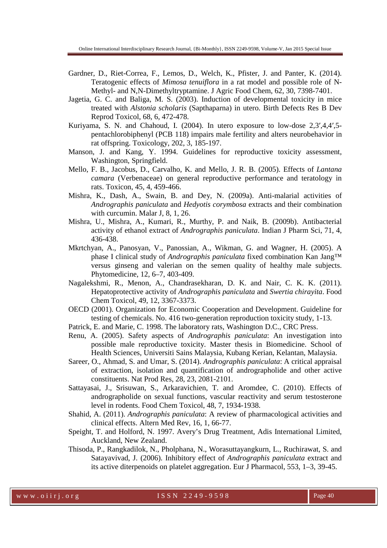- Gardner, D., Riet-Correa, F., Lemos, D., Welch, K., Pfister, J. and Panter, K. (2014). Teratogenic effects of *Mimosa tenuiflora* in a rat model and possible role of N-Methyl- and N,N-Dimethyltryptamine. J Agric Food Chem, 62, 30, 7398-7401.
- Jagetia, G. C. and Baliga, M. S. (2003). Induction of developmental toxicity in mice treated with *Alstonia scholaris* (Sapthaparna) in utero. Birth Defects Res B Dev Reprod Toxicol, 68, 6, 472-478.
- Kuriyama, S. N. and Chahoud, I. (2004). In utero exposure to low-dose 2,3′,4,4′,5 pentachlorobiphenyl (PCB 118) impairs male fertility and alters neurobehavior in rat offspring. Toxicology, 202, 3, 185-197.
- Manson, J. and Kang, Y. 1994. Guidelines for reproductive toxicity assessment, Washington, Springfield.
- Mello, F. B., Jacobus, D., Carvalho, K. and Mello, J. R. B. (2005). Effects of *Lantana camara* (Verbenaceae) on general reproductive performance and teratology in rats. Toxicon, 45, 4, 459-466.
- Mishra, K., Dash, A., Swain, B. and Dey, N. (2009a). Anti-malarial activities of *Andrographis paniculata* and *Hedyotis corymbosa* extracts and their combination with curcumin. Malar J, 8, 1, 26.
- Mishra, U., Mishra, A., Kumari, R., Murthy, P. and Naik, B. (2009b). Antibacterial activity of ethanol extract of *Andrographis paniculata*. Indian J Pharm Sci, 71, 4, 436-438.
- Mkrtchyan, A., Panosyan, V., Panossian, A., Wikman, G. and Wagner, H. (2005). A phase I clinical study of *Andrographis paniculata* fixed combination Kan Jang™ versus ginseng and valerian on the semen quality of healthy male subjects. Phytomedicine, 12, 6–7, 403-409.
- Nagalekshmi, R., Menon, A., Chandrasekharan, D. K. and Nair, C. K. K. (2011). Hepatoprotective activity of *Andrographis paniculata* and *Swertia chirayita*. Food Chem Toxicol, 49, 12, 3367-3373.
- OECD (2001). Organization for Economic Cooperation and Development. Guideline for testing of chemicals. No. 416 two-generation reproduction toxicity study, 1-13.
- Patrick, E. and Marie, C. 1998. The laboratory rats, Washington D.C., CRC Press.
- Renu, A. (2005). Safety aspects of *Andrographis paniculata*: An investigation into possible male reproductive toxicity. Master thesis in Biomedicine. School of Health Sciences, Universiti Sains Malaysia, Kubang Kerian, Kelantan, Malaysia.
- Sareer, O., Ahmad, S. and Umar, S. (2014). *Andrographis paniculata*: A critical appraisal of extraction, isolation and quantification of andrographolide and other active constituents. Nat Prod Res, 28, 23, 2081-2101.
- Sattayasai, J., Srisuwan, S., Arkaravichien, T. and Aromdee, C. (2010). Effects of andrographolide on sexual functions, vascular reactivity and serum testosterone level in rodents. Food Chem Toxicol, 48, 7, 1934-1938.
- Shahid, A. (2011). *Andrographis paniculata*: A review of pharmacological activities and clinical effects. Altern Med Rev, 16, 1, 66-77.
- Speight, T. and Holford, N. 1997. Avery's Drug Treatment, Adis International Limited, Auckland, New Zealand.
- Thisoda, P., Rangkadilok, N., Pholphana, N., Worasuttayangkurn, L., Ruchirawat, S. and Satayavivad, J. (2006). Inhibitory effect of *Andrographis paniculata* extract and its active diterpenoids on platelet aggregation. Eur J Pharmacol, 553, 1–3, 39-45.